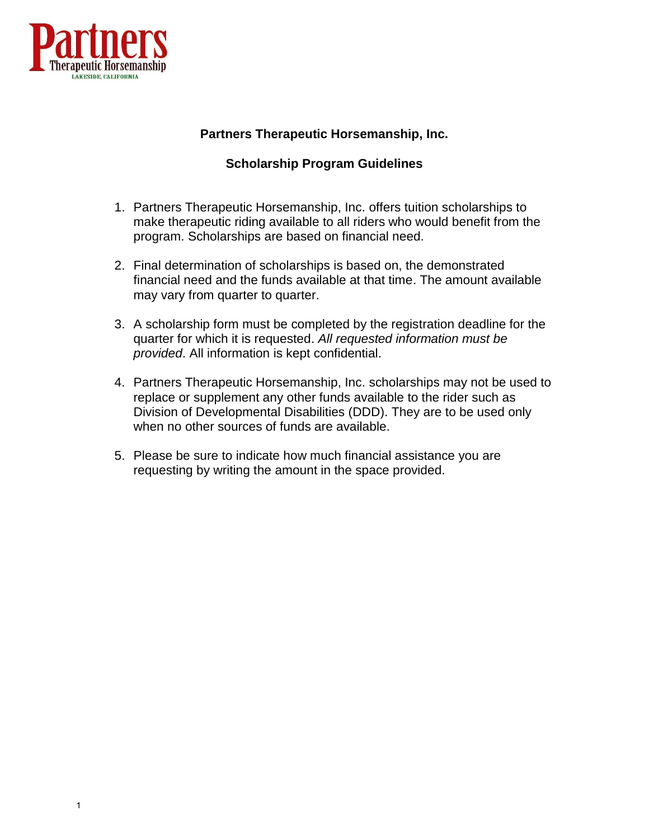

# **Partners Therapeutic Horsemanship, Inc.**

## **Scholarship Program Guidelines**

- 1. Partners Therapeutic Horsemanship, Inc. offers tuition scholarships to make therapeutic riding available to all riders who would benefit from the program. Scholarships are based on financial need.
- 2. Final determination of scholarships is based on, the demonstrated financial need and the funds available at that time. The amount available may vary from quarter to quarter.
- 3. A scholarship form must be completed by the registration deadline for the quarter for which it is requested. *All requested information must be provided*. All information is kept confidential.
- 4. Partners Therapeutic Horsemanship, Inc. scholarships may not be used to replace or supplement any other funds available to the rider such as Division of Developmental Disabilities (DDD). They are to be used only when no other sources of funds are available.
- 5. Please be sure to indicate how much financial assistance you are requesting by writing the amount in the space provided.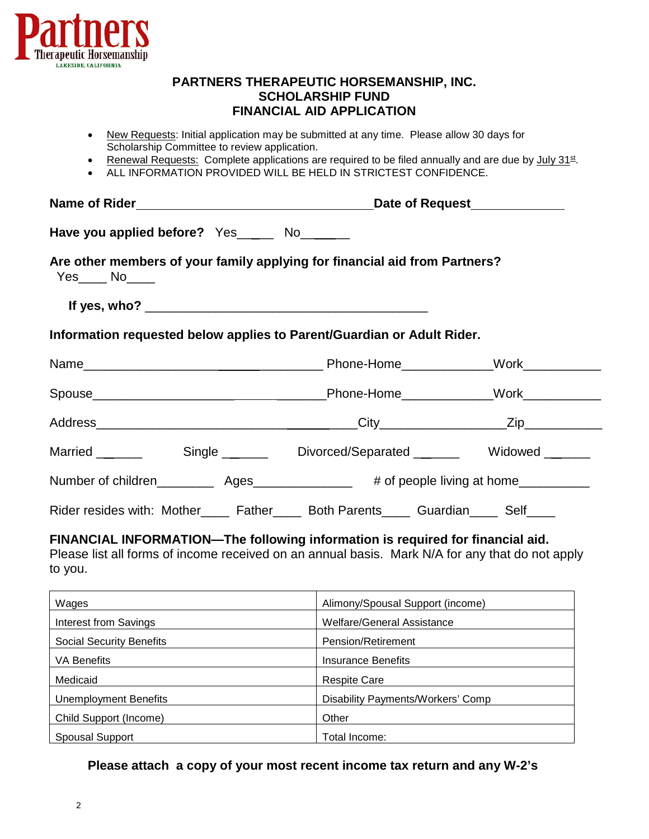

### **PARTNERS THERAPEUTIC HORSEMANSHIP, INC. SCHOLARSHIP FUND FINANCIAL AID APPLICATION**

- New Requests: Initial application may be submitted at any time. Please allow 30 days for Scholarship Committee to review application.
- Renewal Requests: Complete applications are required to be filed annually and are due by July 31st.
- ALL INFORMATION PROVIDED WILL BE HELD IN STRICTEST CONFIDENCE.

| Have you applied before? Yes_______ No_______                                                 |  |  |  |  |
|-----------------------------------------------------------------------------------------------|--|--|--|--|
| Are other members of your family applying for financial aid from Partners?<br>$Yes$ No $\_\_$ |  |  |  |  |
|                                                                                               |  |  |  |  |
| Information requested below applies to Parent/Guardian or Adult Rider.                        |  |  |  |  |
|                                                                                               |  |  |  |  |
|                                                                                               |  |  |  |  |
|                                                                                               |  |  |  |  |
|                                                                                               |  |  |  |  |
|                                                                                               |  |  |  |  |
| Rider resides with: Mother______ Father______ Both Parents______ Guardian______ Self_____     |  |  |  |  |

**FINANCIAL INFORMATION—The following information is required for financial aid.** 

Please list all forms of income received on an annual basis. Mark N/A for any that do not apply to you.

| Wages                           | Alimony/Spousal Support (income)  |
|---------------------------------|-----------------------------------|
| Interest from Savings           | Welfare/General Assistance        |
| <b>Social Security Benefits</b> | Pension/Retirement                |
| <b>VA Benefits</b>              | Insurance Benefits                |
| Medicaid                        | <b>Respite Care</b>               |
| <b>Unemployment Benefits</b>    | Disability Payments/Workers' Comp |
| Child Support (Income)          | Other                             |
| <b>Spousal Support</b>          | Total Income:                     |

#### **Please attach a copy of your most recent income tax return and any W-2's**